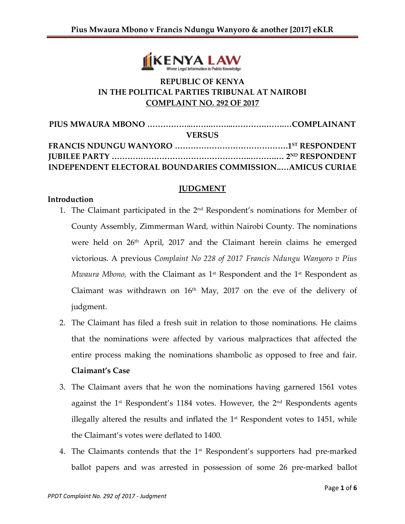

# **REPUBLIC OF KENYA IN THE POLITICAL PARTIES TRIBUNAL AT NAIROBI COMPLAINT NO. 292 OF 2017**

| <b>VERSUS</b>                                                   |  |
|-----------------------------------------------------------------|--|
|                                                                 |  |
|                                                                 |  |
| <b>INDEPENDENT ELECTORAL BOUNDARIES COMMISSIONAMICUS CURIAE</b> |  |

## **JUDGMENT**

## **Introduction**

- 1. The Claimant participated in the 2<sup>nd</sup> Respondent's nominations for Member of County Assembly, Zimmerman Ward, within Nairobi County. The nominations were held on 26<sup>th</sup> April, 2017 and the Claimant herein claims he emerged victorious. A previous *Complaint No 228 of 2017 Francis Ndungu Wanyoro v Pius Mwaura Mbono,* with the Claimant as 1st Respondent and the 1st Respondent as Claimant was withdrawn on  $16<sup>th</sup>$  May, 2017 on the eve of the delivery of judgment.
- 2. The Claimant has filed a fresh suit in relation to those nominations. He claims that the nominations were affected by various malpractices that affected the entire process making the nominations shambolic as opposed to free and fair. **Claimant's Case**
- 3. The Claimant avers that he won the nominations having garnered 1561 votes against the 1st Respondent's 1184 votes. However, the 2nd Respondents agents illegally altered the results and inflated the  $1<sup>st</sup>$  Respondent votes to 1451, while the Claimant's votes were deflated to 1400.
- 4. The Claimants contends that the  $1<sup>st</sup>$  Respondent's supporters had pre-marked ballot papers and was arrested in possession of some 26 pre-marked ballot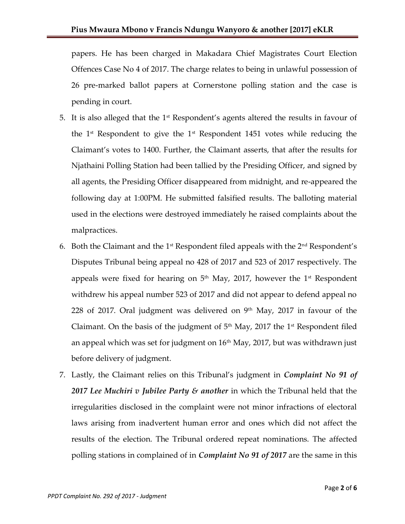papers. He has been charged in Makadara Chief Magistrates Court Election Offences Case No 4 of 2017. The charge relates to being in unlawful possession of 26 pre-marked ballot papers at Cornerstone polling station and the case is pending in court.

- 5. It is also alleged that the  $1<sup>st</sup>$  Respondent's agents altered the results in favour of the  $1<sup>st</sup>$  Respondent to give the  $1<sup>st</sup>$  Respondent 1451 votes while reducing the Claimant's votes to 1400. Further, the Claimant asserts, that after the results for Njathaini Polling Station had been tallied by the Presiding Officer, and signed by all agents, the Presiding Officer disappeared from midnight, and re-appeared the following day at 1:00PM. He submitted falsified results. The balloting material used in the elections were destroyed immediately he raised complaints about the malpractices.
- 6. Both the Claimant and the  $1<sup>st</sup>$  Respondent filed appeals with the  $2<sup>nd</sup>$  Respondent's Disputes Tribunal being appeal no 428 of 2017 and 523 of 2017 respectively. The appeals were fixed for hearing on  $5<sup>th</sup>$  May, 2017, however the  $1<sup>st</sup>$  Respondent withdrew his appeal number 523 of 2017 and did not appear to defend appeal no 228 of 2017. Oral judgment was delivered on  $9<sup>th</sup>$  May, 2017 in favour of the Claimant. On the basis of the judgment of  $5<sup>th</sup>$  May, 2017 the 1<sup>st</sup> Respondent filed an appeal which was set for judgment on  $16<sup>th</sup>$  May, 2017, but was withdrawn just before delivery of judgment.
- 7. Lastly, the Claimant relies on this Tribunal's judgment in *Complaint No 91 of 2017 Lee Muchiri v Jubilee Party & another* in which the Tribunal held that the irregularities disclosed in the complaint were not minor infractions of electoral laws arising from inadvertent human error and ones which did not affect the results of the election. The Tribunal ordered repeat nominations. The affected polling stations in complained of in *Complaint No 91 of 2017* are the same in this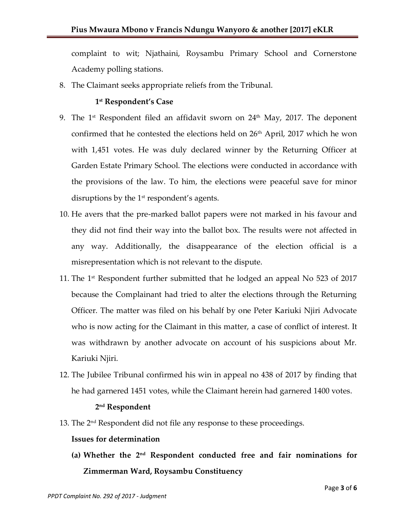complaint to wit; Njathaini, Roysambu Primary School and Cornerstone Academy polling stations.

8. The Claimant seeks appropriate reliefs from the Tribunal.

## **1 st Respondent's Case**

- 9. The  $1<sup>st</sup>$  Respondent filed an affidavit sworn on  $24<sup>th</sup>$  May, 2017. The deponent confirmed that he contested the elections held on  $26<sup>th</sup>$  April, 2017 which he won with 1,451 votes. He was duly declared winner by the Returning Officer at Garden Estate Primary School. The elections were conducted in accordance with the provisions of the law. To him, the elections were peaceful save for minor disruptions by the  $1<sup>st</sup>$  respondent's agents.
- 10. He avers that the pre-marked ballot papers were not marked in his favour and they did not find their way into the ballot box. The results were not affected in any way. Additionally, the disappearance of the election official is a misrepresentation which is not relevant to the dispute.
- 11. The  $1<sup>st</sup>$  Respondent further submitted that he lodged an appeal No 523 of 2017 because the Complainant had tried to alter the elections through the Returning Officer. The matter was filed on his behalf by one Peter Kariuki Njiri Advocate who is now acting for the Claimant in this matter, a case of conflict of interest. It was withdrawn by another advocate on account of his suspicions about Mr. Kariuki Njiri.
- 12. The Jubilee Tribunal confirmed his win in appeal no 438 of 2017 by finding that he had garnered 1451 votes, while the Claimant herein had garnered 1400 votes.

## **2 nd Respondent**

13. The 2<sup>nd</sup> Respondent did not file any response to these proceedings.

## **Issues for determination**

**(a) Whether the 2nd Respondent conducted free and fair nominations for Zimmerman Ward, Roysambu Constituency**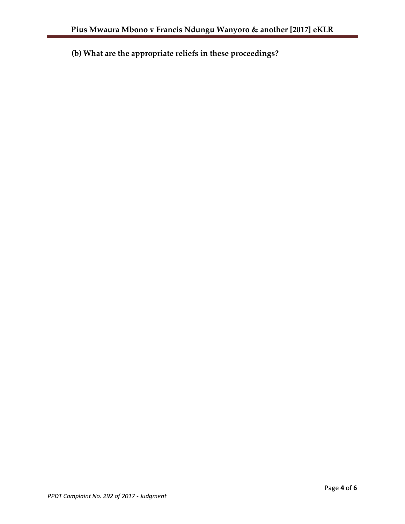**(b) What are the appropriate reliefs in these proceedings?**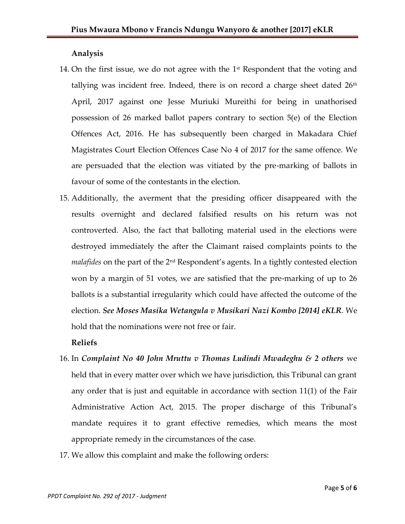## **Analysis**

- 14. On the first issue, we do not agree with the  $1<sup>st</sup>$  Respondent that the voting and tallying was incident free. Indeed, there is on record a charge sheet dated  $26<sup>th</sup>$ April, 2017 against one Jesse Muriuki Mureithi for being in unathorised possession of 26 marked ballot papers contrary to section 5(e) of the Election Offences Act, 2016. He has subsequently been charged in Makadara Chief Magistrates Court Election Offences Case No 4 of 2017 for the same offence. We are persuaded that the election was vitiated by the pre-marking of ballots in favour of some of the contestants in the election.
- 15. Additionally, the averment that the presiding officer disappeared with the results overnight and declared falsified results on his return was not controverted. Also, the fact that balloting material used in the elections were destroyed immediately the after the Claimant raised complaints points to the *malafides* on the part of the 2nd Respondent's agents. In a tightly contested election won by a margin of 51 votes, we are satisfied that the pre-marking of up to 26 ballots is a substantial irregularity which could have affected the outcome of the election. *See Moses Masika Wetangula v Musikari Nazi Kombo [2014] eKLR*. We hold that the nominations were not free or fair.

## **Reliefs**

- 16. In *Complaint No 40 John Mruttu v Thomas Ludindi Mwadeghu & 2 others* we held that in every matter over which we have jurisdiction, this Tribunal can grant any order that is just and equitable in accordance with section 11(1) of the Fair Administrative Action Act, 2015. The proper discharge of this Tribunal's mandate requires it to grant effective remedies, which means the most appropriate remedy in the circumstances of the case.
- 17. We allow this complaint and make the following orders: